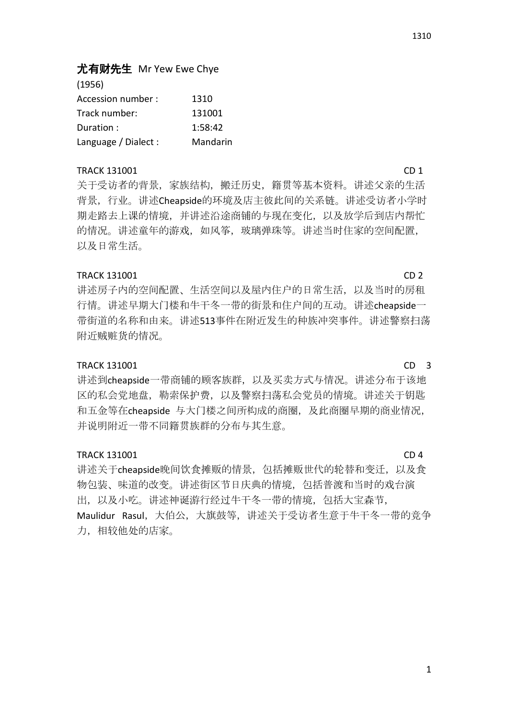# 尤有财先生 Mr Yew Ewe Chye

| (1956)               |          |
|----------------------|----------|
| Accession number :   | 1310     |
| Track number:        | 131001   |
| Duration:            | 1:58:42  |
| Language / Dialect : | Mandarin |

## TRACK 131001 CD 1

关于受访者的背景,家族结构,搬迁历史,籍贯等基本资料。讲述父亲的生活 背景,行业。讲述Cheapside的环境及店主彼此间的关系链。讲述受访者小学时 期走路去上课的情境,并讲述沿途商铺的与现在变化,以及放学后到店内帮忙 的情况。讲述童年的游戏,如风筝,玻璃弹珠等。讲述当时住家的空间配置, 以及日常生活。

## TRACK 131001 CD 2

讲述房子内的空间配置、生活空间以及屋内住户的日常生活,以及当时的房租 行情。讲述早期大门楼和牛干冬一带的街景和住户间的互动。讲述cheapside一 带街道的名称和由来。讲述513事件在附近发生的种族冲突事件。讲述警察扫荡 附近贼赃货的情况。

## TRACK 131001 CD 3

讲述到cheapside一带商铺的顾客族群,以及买卖方式与情况。讲述分布于该地 区的私会党地盘,勒索保护费,以及警察扫荡私会党员的情境。讲述关于钥匙 和五金等在cheapside 与大门楼之间所构成的商圈,及此商圈早期的商业情况, 并说明附近一带不同籍贯族群的分布与其生意。

## TRACK 131001 CD 4

讲述关于cheapside晚间饮食摊贩的情景,包括摊贩世代的轮替和变迁,以及食 物包装、味道的改变。讲述街区节日庆典的情境,包括普渡和当时的戏台演 出,以及小吃。讲述神诞游行经过牛干冬一带的情境,包括大宝森节, Maulidur Rasul, 大伯公, 大旗鼓等, 讲述关于受访者生意于牛干冬一带的竞争 力,相较他处的店家。